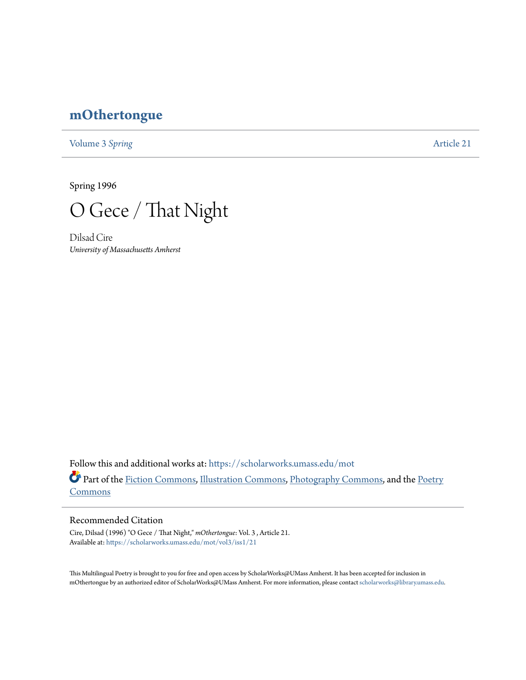## **[mOthertongue](https://scholarworks.umass.edu/mot?utm_source=scholarworks.umass.edu%2Fmot%2Fvol3%2Fiss1%2F21&utm_medium=PDF&utm_campaign=PDFCoverPages)**

[Volume 3](https://scholarworks.umass.edu/mot/vol3?utm_source=scholarworks.umass.edu%2Fmot%2Fvol3%2Fiss1%2F21&utm_medium=PDF&utm_campaign=PDFCoverPages) Spring **[Article 21](https://scholarworks.umass.edu/mot/vol3/iss1/21?utm_source=scholarworks.umass.edu%2Fmot%2Fvol3%2Fiss1%2F21&utm_medium=PDF&utm_campaign=PDFCoverPages)** 

Spring 1996



Dilsad Cire *University of Massachusetts Amherst*

Follow this and additional works at: [https://scholarworks.umass.edu/mot](https://scholarworks.umass.edu/mot?utm_source=scholarworks.umass.edu%2Fmot%2Fvol3%2Fiss1%2F21&utm_medium=PDF&utm_campaign=PDFCoverPages) Part of the [Fiction Commons](http://network.bepress.com/hgg/discipline/1151?utm_source=scholarworks.umass.edu%2Fmot%2Fvol3%2Fiss1%2F21&utm_medium=PDF&utm_campaign=PDFCoverPages), [Illustration Commons,](http://network.bepress.com/hgg/discipline/1135?utm_source=scholarworks.umass.edu%2Fmot%2Fvol3%2Fiss1%2F21&utm_medium=PDF&utm_campaign=PDFCoverPages) [Photography Commons,](http://network.bepress.com/hgg/discipline/1142?utm_source=scholarworks.umass.edu%2Fmot%2Fvol3%2Fiss1%2F21&utm_medium=PDF&utm_campaign=PDFCoverPages) and the [Poetry](http://network.bepress.com/hgg/discipline/1153?utm_source=scholarworks.umass.edu%2Fmot%2Fvol3%2Fiss1%2F21&utm_medium=PDF&utm_campaign=PDFCoverPages) **[Commons](http://network.bepress.com/hgg/discipline/1153?utm_source=scholarworks.umass.edu%2Fmot%2Fvol3%2Fiss1%2F21&utm_medium=PDF&utm_campaign=PDFCoverPages)** 

## Recommended Citation

Cire, Dilsad (1996) "O Gece / That Night," *mOthertongue*: Vol. 3 , Article 21. Available at: [https://scholarworks.umass.edu/mot/vol3/iss1/21](https://scholarworks.umass.edu/mot/vol3/iss1/21?utm_source=scholarworks.umass.edu%2Fmot%2Fvol3%2Fiss1%2F21&utm_medium=PDF&utm_campaign=PDFCoverPages)

This Multilingual Poetry is brought to you for free and open access by ScholarWorks@UMass Amherst. It has been accepted for inclusion in mOthertongue by an authorized editor of ScholarWorks@UMass Amherst. For more information, please contact [scholarworks@library.umass.edu](mailto:scholarworks@library.umass.edu).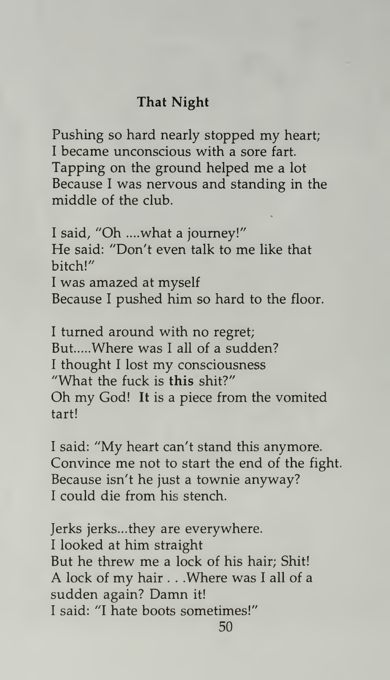## That Night

Pushing so hard nearly stopped my heart; <sup>I</sup> became unconscious with a sore fart. Tapping on the ground helped me <sup>a</sup> lot Because <sup>I</sup> was nervous and standing in the middle of the club.

<sup>I</sup> said, "Oh ....what a journey!" He said: "Don't even talk to me like that bitch!" <sup>I</sup> was amazed at myself Because <sup>I</sup> pushed him so hard to the floor.

<sup>I</sup> turned around with no regret; But.....Where was I all of a sudden? <sup>I</sup> thought <sup>I</sup> lost my consciousness "What the fuck is this shit?" Oh my God! It is <sup>a</sup> piece from the vomited tart!

<sup>I</sup> said: "My heart can't stand this anymore. Convince me not to start the end of the fight. Because isn't he just a townie anyway? <sup>I</sup> could die from his stench.

Jerks jerks...they are everywhere. <sup>I</sup> looked at him straight But he threw me <sup>a</sup> lock of his hair; Shit! A lock of my hair . . .Where was <sup>I</sup> all of <sup>a</sup> sudden again? Damn it! <sup>I</sup> said: "I hate boots sometimes!"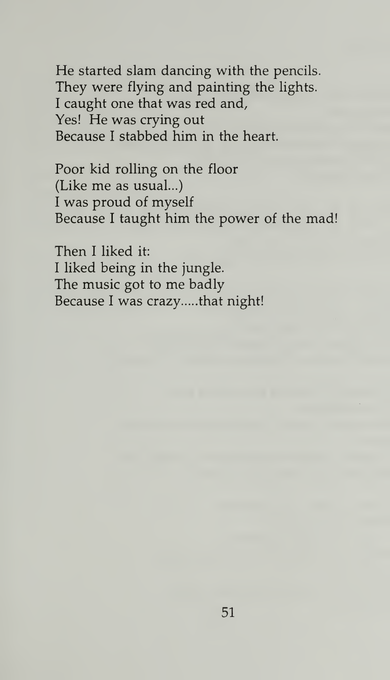He started slam dancing with the pencils. They were flying and painting the lights. <sup>I</sup> caught one that was red and, Yes! He was crying out Because <sup>I</sup> stabbed him in the heart.

Poor kid rolling on the floor (Like me as usual...) <sup>I</sup> was proud of myself Because <sup>I</sup> taught him the power of the mad!

Then <sup>I</sup> liked it: <sup>I</sup> liked being in the jungle. The music got to me badly Because I was crazy .... that night!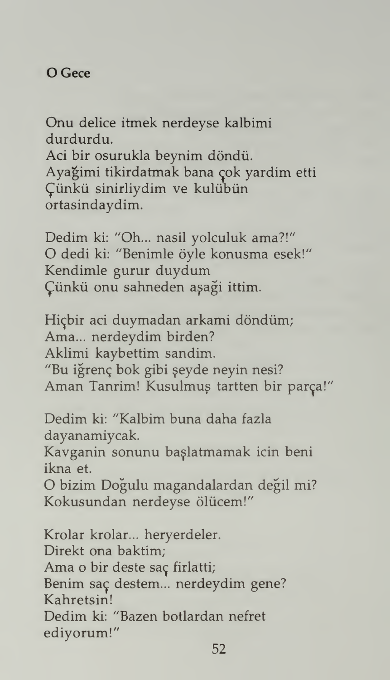Onu delice itmek nerdeyse kalbimi durdurdu.

Aci bir osurukla beynim döndü. Ayağimi tikirdatmak bana çok yardim etti £iinku sinirliydim ve kuliibun ortasindaydim.

Dedim ki: "Oh... nasil yolculuk ama?!" O dedi ki: "Benimle öyle konusma esek!" Kendimle gurur duydum Çünkü onu sahneden aşaği ittim.

Hiçbir aci duymadan arkami döndüm; Ama... nerdeydim birden? Aklimi kaybettim sandim. "Bu iğrenç bok gibi şeyde neyin nesi? Aman Tanrim! Kusulmuș tartten bir parça!"

Dedim ki: "Kalbim buna daha fazla dayanamiycak.

Kavganin sonunu ba^latmamak icin beni ikna et.

O bizim Dogulu magandalardan degil mi? Kokusundan nerdeyse ölücem!"

Krolar krolar... heryerdeler. Direkt ona baktim; Ama o bir deste saç firlatti; Benim saç destem... nerdeydim gene? Kahretsin! Dedim ki: "Bazen botlardan nefret ediyorum!"